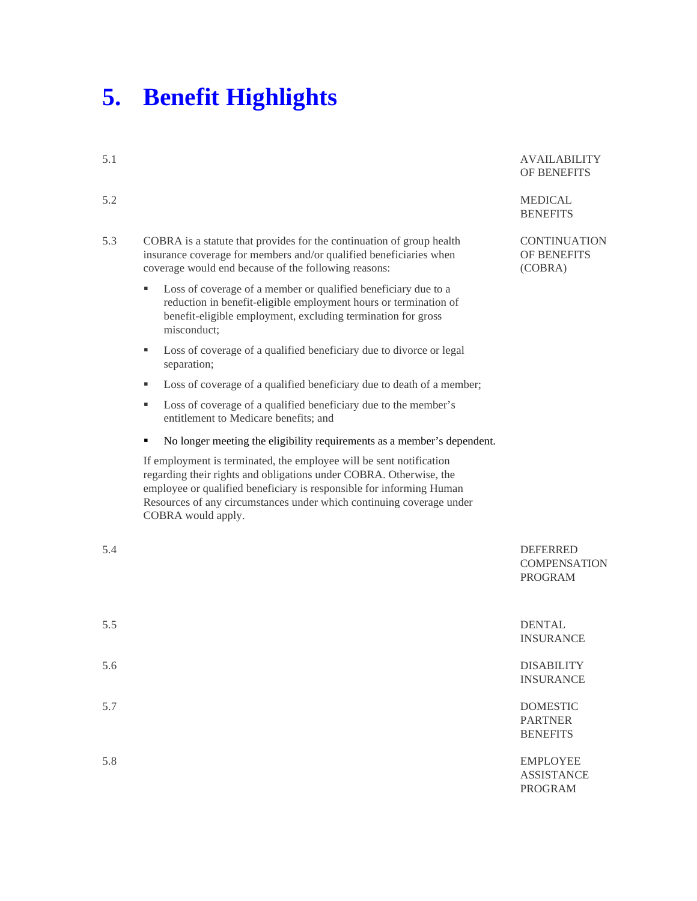## **5. Benefit Highlights**

| 5.1 |                                                                                                                                                                                                                                                                                                                 | <b>AVAILABILITY</b><br><b>OF BENEFITS</b>                |
|-----|-----------------------------------------------------------------------------------------------------------------------------------------------------------------------------------------------------------------------------------------------------------------------------------------------------------------|----------------------------------------------------------|
| 5.2 |                                                                                                                                                                                                                                                                                                                 | <b>MEDICAL</b><br><b>BENEFITS</b>                        |
| 5.3 | COBRA is a statute that provides for the continuation of group health<br>insurance coverage for members and/or qualified beneficiaries when<br>coverage would end because of the following reasons:                                                                                                             | <b>CONTINUATION</b><br><b>OF BENEFITS</b><br>(COBRA)     |
|     | Loss of coverage of a member or qualified beneficiary due to a<br>٠<br>reduction in benefit-eligible employment hours or termination of<br>benefit-eligible employment, excluding termination for gross<br>misconduct:                                                                                          |                                                          |
|     | Loss of coverage of a qualified beneficiary due to divorce or legal<br>٠<br>separation;                                                                                                                                                                                                                         |                                                          |
|     | Loss of coverage of a qualified beneficiary due to death of a member;<br>٠                                                                                                                                                                                                                                      |                                                          |
|     | Loss of coverage of a qualified beneficiary due to the member's<br>٠<br>entitlement to Medicare benefits; and                                                                                                                                                                                                   |                                                          |
|     | No longer meeting the eligibility requirements as a member's dependent.<br>٠                                                                                                                                                                                                                                    |                                                          |
|     | If employment is terminated, the employee will be sent notification<br>regarding their rights and obligations under COBRA. Otherwise, the<br>employee or qualified beneficiary is responsible for informing Human<br>Resources of any circumstances under which continuing coverage under<br>COBRA would apply. |                                                          |
| 5.4 |                                                                                                                                                                                                                                                                                                                 | <b>DEFERRED</b><br><b>COMPENSATION</b><br><b>PROGRAM</b> |
| 5.5 |                                                                                                                                                                                                                                                                                                                 | <b>DENTAL</b><br><b>INSURANCE</b>                        |
| 5.6 |                                                                                                                                                                                                                                                                                                                 | <b>DISABILITY</b>                                        |

**UATION EFITS**  $\overline{)}$ 

- 
- 

## **SATION**  $M$

INSURANCE

5.7 DOMESTIC PARTNER **BENEFITS** 

5.8 EMPLOYEE ASSISTANCE PROGRAM